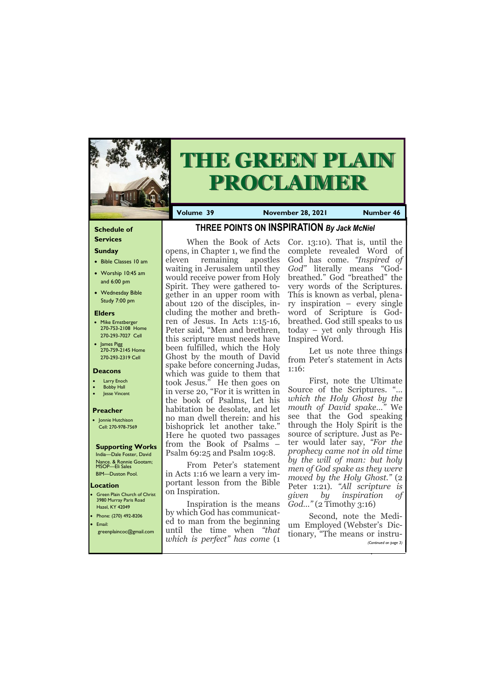# **Schedule of**

## **Services Sunday**

- Bible Classes 10 am
- Worship 10:45 am and 6:00 pm
- Wednesday Bible Study 7:00 pm

## **Elders**

**Green Plain Church of Christ** 3980 Murray Paris Road Hazel, KY 42049 • Phone: (270) 492-8206 • Email:

- Mike Ernstberger 270-753-2108 Home 270-293-7027 Cell
- James Pigg 270-759-2145 Home 270-293-2319 Cell



# **THE GREEN PLAIN PROCLAIMER**

**Volume 39 November 28, 2021 Number 46** 

#### **Location**

## **Deacons**

- **Larry Enoch**
- **Bobby Hall**
- Jesse Vincent

## **Preacher**

• Jonnie Hutchison Cell: 270-978-7569

## **Supporting Works**

India—Dale Foster, David Nance. & Ronnie Gootam; MSOP—Eli Sales BIM—Duston Pool.

# **THREE POINTS ON INSPIRATION** *By Jack McNiel*

opens, in Chapter 1, we find the eleven remaining apostles waiting in Jerusalem until they would receive power from Holy Spirit. They were gathered together in an upper room with about 120 of the disciples, including the mother and brethren of Jesus. In Acts 1:15-16, Peter said, "Men and brethren, this scripture must needs have been fulfilled, which the Holy Ghost by the mouth of David spake before concerning Judas, which was guide to them that took Jesus." He then goes on in verse 20, "For it is written in the book of Psalms, Let his habitation be desolate, and let no man dwell therein: and his bishoprick let another take." Here he quoted two passages from the Book of Psalms – Psalm 69:25 and Psalm 109:8.

When the Book of Acts Cor. 13:10). That is, until the complete revealed Word of God has come. *"Inspired of God"* literally means "Godbreathed." God "breathed" the very words of the Scriptures. This is known as verbal, plenary inspiration – every single word of Scripture is Godbreathed. God still speaks to us today – yet only through His Inspired Word.

|  |  | which is perfect" has come (1 | greenplaincoc@gmail.com until the time when "that tionary, "The means or instru-<br>(Continued on page 3) |
|--|--|-------------------------------|-----------------------------------------------------------------------------------------------------------|
|  |  |                               |                                                                                                           |

From Peter's statement in Acts 1:16 we learn a very important lesson from the Bible on Inspiration.

Inspiration is the means by which God has communicated to man from the beginning

Let us note three things from Peter's statement in Acts 1:16:

First, note the Ultimate Source of the Scriptures. "… *which the Holy Ghost by the mouth of David spake…"* We see that the God speaking through the Holy Spirit is the source of scripture. Just as Peter would later say, *"For the prophecy came not in old time by the will of man: but holy men of God spake as they were moved by the Holy Ghost."* (2 Peter 1:21). *"All scripture is given by inspiration of God…"* (2 Timothy 3:16)

Second, note the Medium Employed (Webster's Dic-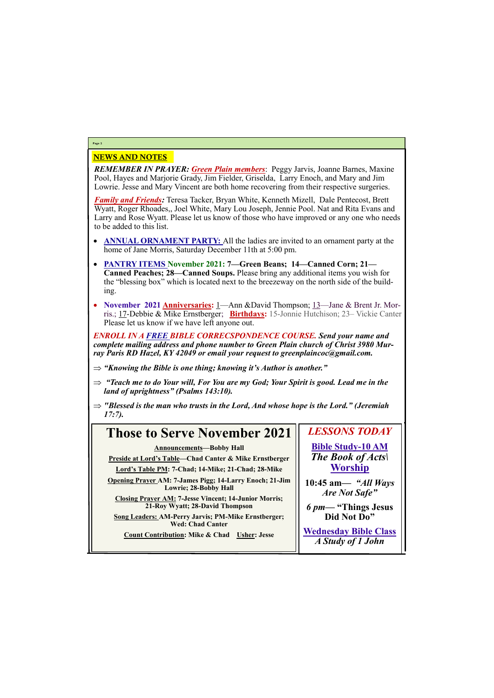## NEWS AND NOTES

*REMEMBER IN PRAYER: Green Plain members*: Peggy Jarvis, Joanne Barnes, Maxine Pool, Hayes and Marjorie Grady, Jim Fielder, Griselda, Larry Enoch, and Mary and Jim Lowrie. Jesse and Mary Vincent are both home recovering from their respective surgeries.

*Family and Friends:* Teresa Tacker, Bryan White, Kenneth Mizell, Dale Pentecost, Brett Wyatt, Roger Rhoades,, Joel White, Mary Lou Joseph, Jennie Pool. Nat and Rita Evans and Larry and Rose Wyatt. Please let us know of those who have improved or any one who needs to be added to this list.

- **ANNUAL ORNAMENT PARTY:** All the ladies are invited to an ornament party at the home of Jane Morris, Saturday December 11th at 5:00 pm.
- **PANTRY ITEMS November 2021: 7—Green Beans; 14—Canned Corn; 21— Canned Peaches; 28—Canned Soups.** Please bring any additional items you wish for the "blessing box" which is located next to the breezeway on the north side of the building.
- **November 2021 Anniversaries:** 1—Ann &David Thompson; 13—Jane & Brent Jr. Morris.; 17-Debbie & Mike Ernstberger; **Birthdays:** 15-Jonnie Hutchison; 23– Vickie Canter Please let us know if we have left anyone out.

*ENROLL IN A FREE BIBLE CORRECSPONDENCE COURSE. Send your name and complete mailing address and phone number to Green Plain church of Christ 3980 Murray Paris RD Hazel, KY 42049 or email your request to greenplaincoc@gmail.com.*

- *"Knowing the Bible is one thing; knowing it's Author is another."*
- $\Rightarrow$  "Teach me to do Your will, For You are my God; Your Spirit is good. Lead me in the *land of uprightness" (Psalms 143:10).*
- *"Blessed is the man who trusts in the Lord, And whose hope is the Lord." (Jeremiah 17:7).*

# **Page 2**

#### **Those to Serve November 2021 Announcements—Bobby Hall Preside at Lord's Table—Chad Canter & Mike Ernstberger Lord's Table PM: 7-Chad; 14-Mike; 21-Chad; 28-Mike Opening Prayer AM: 7-James Pigg; 14-Larry Enoch; 21-Jim Lowrie; 28-Bobby Hall Closing Prayer AM: 7-Jesse Vincent; 14-Junior Morris; 21-Roy Wyatt; 28-David Thompson Song Leaders: AM-Perry Jarvis; PM-Mike Ernstberger; Wed: Chad Canter** *LESSONS TODAY* **Bible Study-10 AM** *The Book of Acts\* **Worship 10:45 am***— "All Ways Are Not Safe" 6 pm***— "Things Jesus Did Not Do"**

**Count Contribution: Mike & Chad Usher: Jesse**

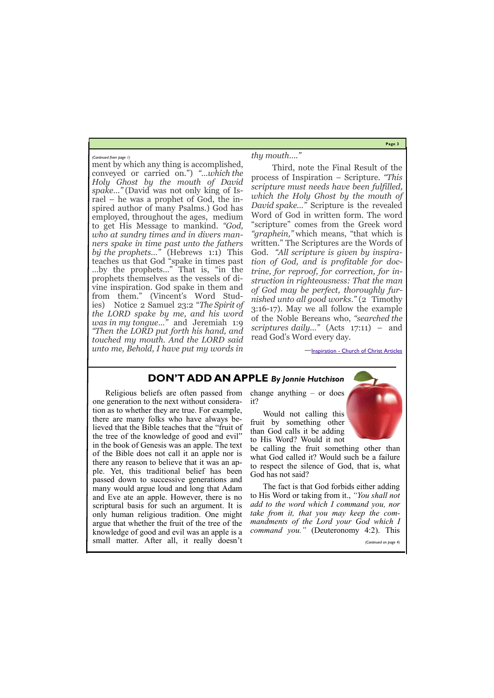**Page 3**

ment by which any thing is accomplished, conveyed or carried on.") *"…which the Holy Ghost by the mouth of David spake…"* (David was not only king of Israel – he was a prophet of God, the inspired author of many Psalms.) God has employed, throughout the ages, medium to get His Message to mankind. *"God, who at sundry times and in divers manners spake in time past unto the fathers by the prophets…"* (Hebrews 1:1) This teaches us that God "spake in times past …by the prophets…" That is, "in the prophets themselves as the vessels of divine inspiration. God spake in them and from them." (Vincent's Word Studies) Notice 2 Samuel 23:2 "*The Spirit of the LORD spake by me, and his word was in my tongue…"* and Jeremiah 1:9 *"Then the LORD put forth his hand, and touched my mouth. And the LORD said unto me, Behold, I have put my words in* 

*thy mouth…."*

Third, note the Final Result of the process of Inspiration – Scripture. *"This scripture must needs have been fulfilled, which the Holy Ghost by the mouth of David spake…"* Scripture is the revealed Word of God in written form. The word "scripture" comes from the Greek word *"graphein,"* which means, "that which is written." The Scriptures are the Words of God. *"All scripture is given by inspiration of God, and is profitable for doctrine, for reproof, for correction, for instruction in righteousness: That the man of God may be perfect, thoroughly furnished unto all good works."* (2 Timothy 3:16-17). May we all follow the example of the Noble Bereans who, *"searched the scriptures daily…"* (Acts 17:11) – and read God's Word every day.

—Inspiration - [Church of Christ Articles](https://churchofchristarticles.com/blog/administrator/inspiration/)

*(Continued from page 1)*

# **DON'T ADD AN APPLE** *By Jonnie Hutchison*

Religious beliefs are often passed from change anything – or does one generation to the next without consideration as to whether they are true. For example, there are many folks who have always believed that the Bible teaches that the "fruit of the tree of the knowledge of good and evil" in the book of Genesis was an apple. The text of the Bible does not call it an apple nor is there any reason to believe that it was an apple. Yet, this traditional belief has been passed down to successive generations and many would argue loud and long that Adam and Eve ate an apple. However, there is no scriptural basis for such an argument. It is only human religious tradition. One might argue that whether the fruit of the tree of the

it?

Would not calling this fruit by something other than God calls it be adding to His Word? Would it not

be calling the fruit something other than what God called it? Would such be a failure to respect the silence of God, that is, what God has not said?

knowledge of good and evil was an apple is a *command you."* (Deuteronomy 4:2). This small matter. After all, it really doesn't *(Continued on page 4)*

The fact is that God forbids either adding to His Word or taking from it., *"You shall not add to the word which I command you, nor take from it, that you may keep the commandments of the Lord your God which I*